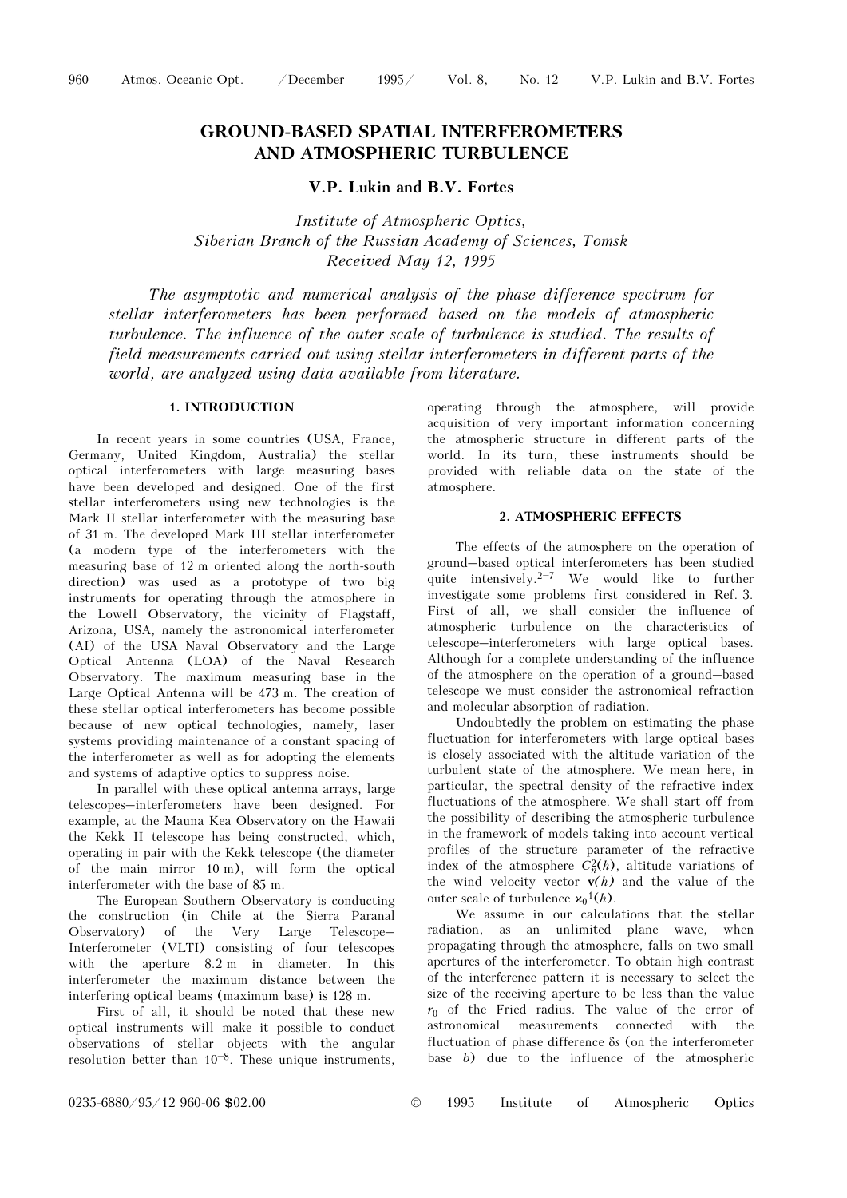# GROUND-BASED SPATIAL INTERFEROMETERS AND ATMOSPHERIC TURBULENCE

V.P. Lukin and B.V. Fortes

Institute of Atmospheric Optics, Siberian Branch of the Russian Academy of Sciences, Tomsk Received May 12, 1995

The asymptotic and numerical analysis of the phase difference spectrum for stellar interferometers has been performed based on the models of atmospheric turbulence. The influence of the outer scale of turbulence is studied. The results of field measurements carried out using stellar interferometers in different parts of the world, are analyzed using data available from literature.

# 1. INTRODUCTION

In recent years in some countries (USA, France, Germany, United Kingdom, Australia) the stellar optical interferometers with large measuring bases have been developed and designed. One of the first stellar interferometers using new technologies is the Mark II stellar interferometer with the measuring base of 31 m. The developed Mark III stellar interferometer (a modern type of the interferometers with the measuring base of 12 m oriented along the north-south direction) was used as a prototype of two big instruments for operating through the atmosphere in the Lowell Observatory, the vicinity of Flagstaff, Arizona, USA, namely the astronomical interferometer (AI) of the USA Naval Observatory and the Large Optical Antenna (LOA) of the Naval Research Observatory. The maximum measuring base in the Large Optical Antenna will be 473 m. The creation of these stellar optical interferometers has become possible because of new optical technologies, namely, laser systems providing maintenance of a constant spacing of the interferometer as well as for adopting the elements and systems of adaptive optics to suppress noise.

In parallel with these optical antenna arrays, large telescopes–interferometers have been designed. For example, at the Mauna Kea Observatory on the Hawaii the Kekk II telescope has being constructed, which, operating in pair with the Kekk telescope (the diameter of the main mirror 10 m), will form the optical interferometer with the base of 85 m.

The European Southern Observatory is conducting the construction (in Chile at the Sierra Paranal Observatory) of the Very Large Telescope– Interferometer (VLTI) consisting of four telescopes with the aperture 8.2 m in diameter. In this interferometer the maximum distance between the interfering optical beams (maximum base) is 128 m.

First of all, it should be noted that these new optical instruments will make it possible to conduct observations of stellar objects with the angular resolution better than  $10^{-8}$ . These unique instruments, operating through the atmosphere, will provide acquisition of very important information concerning the atmospheric structure in different parts of the world. In its turn, these instruments should be provided with reliable data on the state of the atmosphere.

## 2. ATMOSPHERIC EFFECTS

The effects of the atmosphere on the operation of ground–based optical interferometers has been studied quite intensively.2–7 We would like to further investigate some problems first considered in Ref. 3. First of all, we shall consider the influence of atmospheric turbulence on the characteristics of telescope–interferometers with large optical bases. Although for a complete understanding of the influence of the atmosphere on the operation of a ground–based telescope we must consider the astronomical refraction and molecular absorption of radiation.

Undoubtedly the problem on estimating the phase fluctuation for interferometers with large optical bases is closely associated with the altitude variation of the turbulent state of the atmosphere. We mean here, in particular, the spectral density of the refractive index fluctuations of the atmosphere. We shall start off from the possibility of describing the atmospheric turbulence in the framework of models taking into account vertical profiles of the structure parameter of the refractive index of the atmosphere  $C_n^2(h)$ , altitude variations of the wind velocity vector  $v(h)$  and the value of the outer scale of turbulence  $\mathbf{x}_0^{-1}(h)$ .

We assume in our calculations that the stellar radiation, as an unlimited plane wave, when propagating through the atmosphere, falls on two small apertures of the interferometer. To obtain high contrast of the interference pattern it is necessary to select the size of the receiving aperture to be less than the value  $r_0$  of the Fried radius. The value of the error of astronomical measurements connected with the measurements connected with the fluctuation of phase difference δs (on the interferometer base b) due to the influence of the atmospheric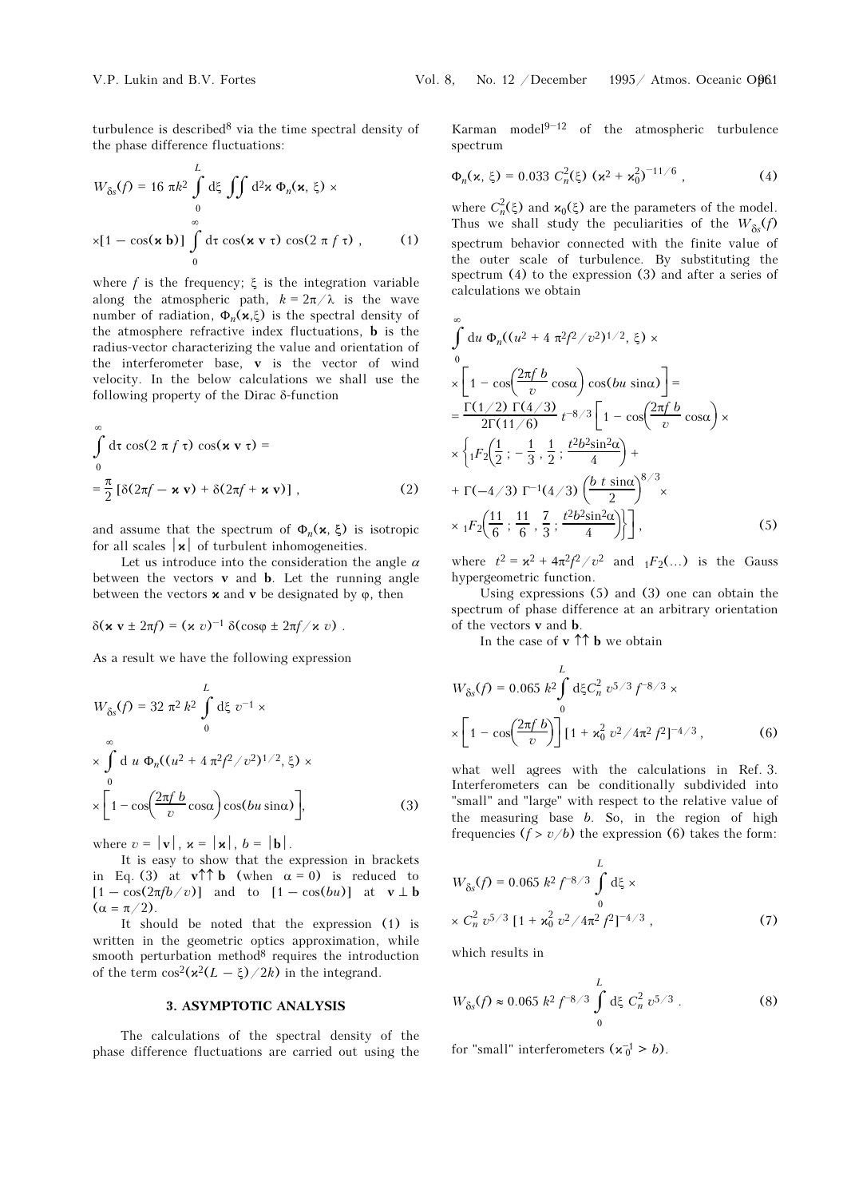turbulence is described8 via the time spectral density of the phase difference fluctuations:

$$
W_{\delta s}(f) = 16 \pi k^2 \int_0^L d\xi \iint d^2 \mathbf{x} \, \Phi_n(\mathbf{x}, \xi) \times
$$
  
 
$$
\times [1 - \cos(\mathbf{x} \, \mathbf{b})] \int_0^\infty d\tau \cos(\mathbf{x} \, \mathbf{v} \, \tau) \cos(2 \pi f \, \tau) , \qquad (1)
$$

where f is the frequency;  $\xi$  is the integration variable along the atmospheric path,  $k = 2\pi/\lambda$  is the wave number of radiation,  $\Phi_n(\mathbf{x},\xi)$  is the spectral density of the atmosphere refractive index fluctuations, b is the radius-vector characterizing the value and orientation of the interferometer base, v is the vector of wind velocity. In the below calculations we shall use the following property of the Dirac δ-function

$$
\int_{0}^{\infty} d\tau \cos(2 \pi f \tau) \cos(\mathbf{x} \mathbf{v} \tau) =
$$
  

$$
= \frac{\pi}{2} [\delta(2\pi f - \mathbf{x} \mathbf{v}) + \delta(2\pi f + \mathbf{x} \mathbf{v})],
$$
 (2)

and assume that the spectrum of  $\Phi_n(\mathbf{x}, \xi)$  is isotropic for all scales  $|\mathbf{x}|$  of turbulent inhomogeneities.

Let us introduce into the consideration the angle  $\alpha$ between the vectors **v** and **b**. Let the running angle<br>between the vectors **x** and **v** be designated by  $\varphi$ , then<br> $\delta(\mathbf{x} \mathbf{v} \pm 2\pi f) = (\mathbf{x} \ v)^{-1} \delta(\cos\varphi \pm 2\pi f / \mathbf{x} \ v)$ . between the vectors  $\times$  and **v** be designated by  $\varphi$ , then

$$
\delta(\mathbf{x}\,\mathbf{v}\pm 2\pi f)=(\mathbf{x}\,\mathbf{v})^{-1}\,\delta(\cos\varphi\pm 2\pi f/\mathbf{x}\,\mathbf{v})\ .
$$

As a result we have the following expression  
\n
$$
W_{\delta s}(f) = 32 \pi^2 k^2 \int_0^L d\xi \, v^{-1} \times \int_0^\infty d\mu \, \Phi_n((u^2 + 4\pi^2 f^2/v^2)^{1/2}, \xi) \times \left[1 - \cos\left(\frac{2\pi f b}{v} \cos\alpha\right) \cos(bu \sin\alpha)\right],
$$
\n(3)

where  $v = |\mathbf{v}|, \mathbf{x} = |\mathbf{x}|, b = |\mathbf{b}|.$ 

It is easy to show that the expression in brackets in Eq. (3) at  $\mathbf{v} \uparrow \uparrow \mathbf{b}$  (when  $\alpha = 0$ ) is reduced to  $[1 - \cos(2\pi f b/v)]$  and to  $[1 - \cos(bu)]$  at  $v \perp b$  $(\alpha = \pi/2).$ 

It should be noted that the expression (1) is written in the geometric optics approximation, while smooth perturbation method8 requires the introduction of the term  $\cos^2(\frac{x^2(L - \xi)}{2k})$  in the integrand.

#### 3. ASYMPTOTIC ANALYSIS

The calculations of the spectral density of the phase difference fluctuations are carried out using the

No. 12 / December 1995 / Atmos. Oceanic O $\beta$ 61<br>Karman model<sup>9–12</sup> of the atmospheric turbulence spectrum

$$
\Phi_n(\mathbf{x},\,\xi) = 0.033\ C_n^2(\xi)\ (\mathbf{x}^2 + \mathbf{x}_0^2)^{-11/6}\,,\tag{4}
$$

where  $C_n^2(\xi)$  and  $\mathbf{x}_0(\xi)$  are the parameters of the model. Thus we shall study the peculiarities of the  $W_{\delta s}(f)$ spectrum behavior connected with the finite value of the outer scale of turbulence. By substituting the spectrum (4) to the expression (3) and after a series of calculations we obtain

$$
\int_{0}^{\infty} du \Phi_{n}((u^{2} + 4 \pi^{2} f^{2}/v^{2})^{1/2}, \xi) \times
$$
\n
$$
\times \left[1 - \cos\left(\frac{2\pi f b}{v} \cos\alpha\right) \cos(bu \sin\alpha)\right] =
$$
\n
$$
= \frac{\Gamma(1/2) \Gamma(4/3)}{2\Gamma(11/6)} t^{-8/3} \left[1 - \cos\left(\frac{2\pi f b}{v} \cos\alpha\right) \times \right.
$$
\n
$$
\times \left\{ {}_{1}F_{2}\left(\frac{1}{2}; -\frac{1}{3}, \frac{1}{2}; \frac{t^{2}b^{2} \sin^{2}\alpha}{4}\right) + \right.
$$
\n
$$
+ \Gamma(-4/3) \Gamma^{-1}(4/3) \left(\frac{b \ t \sin\alpha}{2}\right)^{8/3} \times \left.\right.
$$
\n
$$
\times {}_{1}F_{2}\left(\frac{11}{6}; \frac{11}{6}, \frac{7}{3}; \frac{t^{2}b^{2} \sin^{2}\alpha}{4}\right)\right], \tag{5}
$$

where  $t^2 = \alpha^2 + 4\pi^2 f^2/v^2$  and  ${}_1F_2(\ldots)$  is the Gauss hypergeometric function.

Using expressions (5) and (3) one can obtain the spectrum of phase difference at an arbitrary orientation of the vectors v and b.

In the case of  $\mathbf{v} \uparrow \uparrow \mathbf{b}$  we obtain

$$
W_{\delta s}(f) = 0.065 \ k^2 \int_0^L d\xi C_n^2 \ v^{5/3} f^{-8/3} \times
$$
  
 
$$
\times \left[1 - \cos\left(\frac{2\pi f b}{v}\right)\right] \left[1 + \varkappa_0^2 \ v^2 / 4\pi^2 f^2\right]^{-4/3}, \tag{6}
$$

what well agrees with the calculations in Ref. 3. Interferometers can be conditionally subdivided into "small" and "large" with respect to the relative value of the measuring base  $b$ . So, in the region of high frequencies  $(f > v/b)$  the expression (6) takes the form:

$$
W_{\delta s}(f) = 0.065 k^2 f^{-8/3} \int_0^L d\xi \times
$$
  
 
$$
\times C_n^2 v^{5/3} [1 + \varkappa_0^2 v^2 / 4\pi^2 f^2]^{-4/3},
$$
 (7)

which results in

$$
W_{\delta s}(f) \approx 0.065 \ k^2 \ f^{-8/3} \int_0^L d\xi \ C_n^2 \ v^{5/3} \ . \tag{8}
$$

for "small" interferometers  $(\kappa_0^{-1} > b)$ .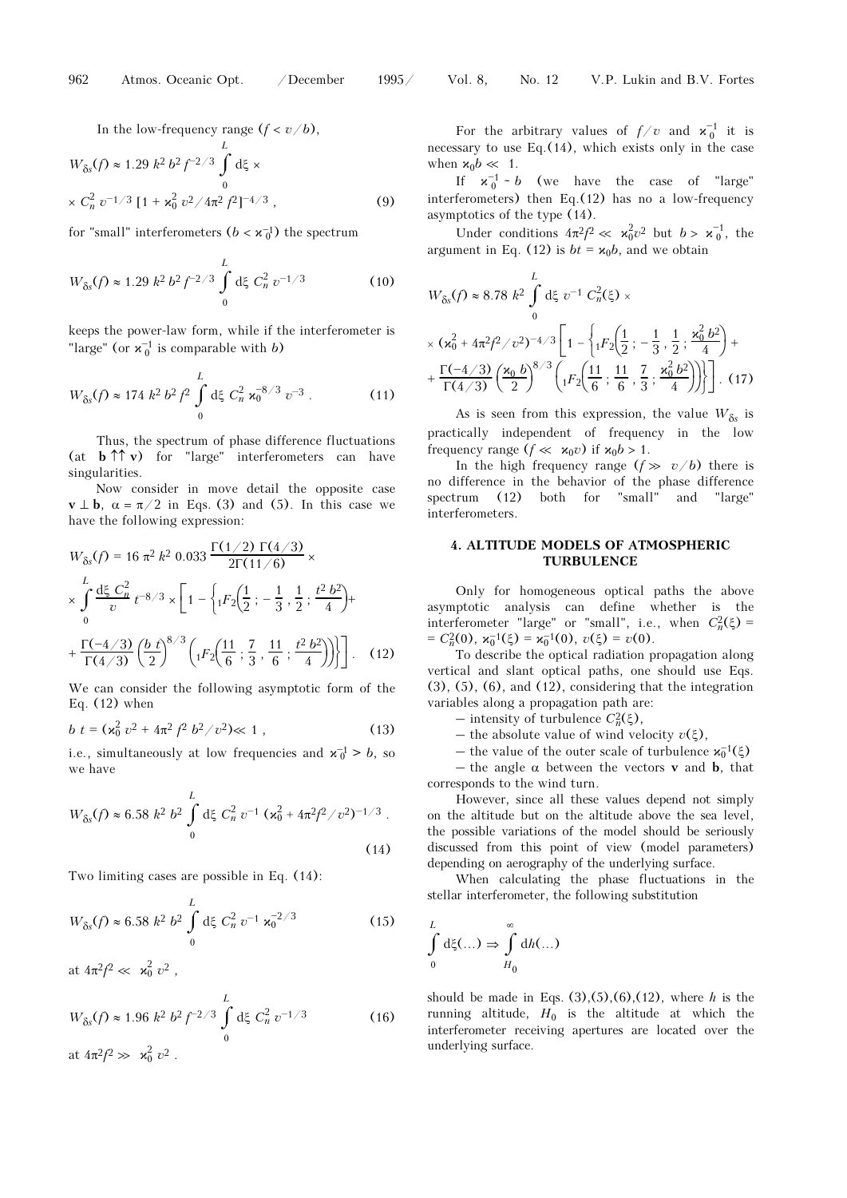In the low-frequency range  $(f < v/b)$ ,

$$
W_{\delta s}(f) \approx 1.29 \; k^2 \; b^2 \; f^{-2/3} \int_0^L d\xi \times
$$
  
 
$$
\times \; C_n^2 \; v^{-1/3} \; [1 + \varkappa_0^2 \; v^2 / 4\pi^2 \; f^2]^{-4/3} \;, \tag{9}
$$

for "small" interferometers 
$$
(b < \mathbf{x}_0^{-1})
$$
 the spectrum  
\n
$$
L
$$
\n
$$
W_{\delta s}(f) \approx 1.29 k^2 b^2 f^{-2/3} \int_0^L d\xi C_n^2 v^{-1/3}
$$
\n(10)

keeps the power-law form, while if the interferometer is "large" (or  $\mathbf{x}_0^{-1}$  is comparable with b)

"large" (or 
$$
\mathbf{x}_0^{-1}
$$
 is comparable with *b*)  
\n
$$
W_{\delta s}(f) \approx 174 \ k^2 b^2 f^2 \int_0^L d\xi C_n^2 \mathbf{x}_0^{-8/3} v^{-3}.
$$
\n(11)

Thus, the spectrum of phase difference fluctuations (at  $\mathbf{b} \uparrow \uparrow \mathbf{v}$ ) for "large" interferometers can have singularities.

Now consider in move detail the opposite case  $\mathbf{v} \perp \mathbf{b}$ ,  $\alpha = \pi/2$  in Eqs. (3) and (5). In this case we have the following expression:

$$
W_{\delta s}(f) = 16 \pi^2 k^2 0.033 \frac{\Gamma(1/2) \Gamma(4/3)}{2\Gamma(11/6)} \times
$$
  
\n
$$
\times \int_{0}^{L} \frac{d\xi}{v} C_{p}^{2} t^{-8/3} \times \left[ 1 - \left\{ {}_{1}F_{2} \left( \frac{1}{2} ; -\frac{1}{3}, \frac{1}{2} ; \frac{t^2 b^2}{4} \right) + \right. \right.
$$
  
\n
$$
+ \frac{\Gamma(-4/3)}{\Gamma(4/3)} \left( \frac{b}{2} t \right)^{8/3} \left( {}_{1}F_{2} \left( \frac{11}{6} ; \frac{7}{3}, \frac{11}{6} ; \frac{t^2 b^2}{4} \right) \right) \right]. \quad (12)
$$

We can consider the following asymptotic form of the Eq.  $(12)$  when

$$
b \ t = (\varkappa_0^2 \ v^2 + 4\pi^2 \ f^2 \ b^2 / v^2) \ll 1 \ , \tag{13}
$$

i.e., simultaneously at low frequencies and  $\mathbf{x}_0^{-1} > b$ , so we have

we have  
\n
$$
W_{\delta s}(f) \approx 6.58 \; k^2 \; b^2 \int_0^L d\xi \; C_n^2 \; v^{-1} \left( \varkappa_0^2 + 4\pi^2 f^2 / v^2 \right)^{-1/3} .
$$
\n(14)

Two limiting cases are possible in Eq. (14):  
\n
$$
W_{\delta s}(f) \approx 6.58 \ k^2 b^2 \int_0^L d\xi C_n^2 v^{-1} \kappa_0^{-2/3}
$$
\n(15)

at  $4\pi^2 f^2 \ll \kappa_0^2 v^2$ ,

at 
$$
4\pi^2 f^2 \ll \kappa_0^2 v^2
$$
,  
\n
$$
W_{\delta s}(f) \approx 1.96 \; k^2 \; b^2 \; f^{-2/3} \int_0^L d\xi \; C_n^2 \; v^{-1/3}
$$
\n
$$
= 4\pi^2 f^2 \gg \kappa_0^2 \; v^2.
$$
\n(16)

For the arbitrary values of  $f/v$  and  $\mathbf{x}_0^{-1}$  it is necessary to use Eq.(14), which exists only in the case when  $\varkappa_0 b \ll 1$ .

If  $\mathbf{x}_0^{-1} \sim b$  (we have the case of "large" interferometers) then Eq.(12) has no a low-frequency asymptotics of the type (14).

Under conditions  $4\pi^2 f^2 \ll \kappa_0^2 v^2$  but  $b > \kappa_0^{-1}$ , the

argument in Eq. (12) is 
$$
bt = x_0b
$$
, and we obtain

\n
$$
W_{\delta s}(f) \approx 8.78 \, k^2 \int_{0}^{L} d\xi \, v^{-1} \, C_n^2(\xi) \times
$$
\n
$$
\times (x_0^2 + 4\pi^2 f^2 / v^2)^{-4/3} \left[ 1 - \left\{ {}_1F_2\left(\frac{1}{2}; -\frac{1}{3}, \frac{1}{2}; \frac{x_0^2 b^2}{4}\right) + \frac{\Gamma(-4/3)}{\Gamma(4/3)} \left(\frac{x_0 b}{2}\right)^{8/3} \left( {}_1F_2\left(\frac{11}{6}; \frac{11}{6}, \frac{7}{3}; \frac{x_0^2 b^2}{4}\right)\right) \right] \right].
$$
\n(17)

As is seen from this expression, the value  $W_{\delta s}$  is practically independent of frequency in the low frequency range  $(f \ll \varkappa_0 v)$  if  $\varkappa_0 b > 1$ .

In the high frequency range  $(f \gg v/b)$  there is no difference in the behavior of the phase difference spectrum (12) both for "small" and "large" interferometers.

# 4. ALTITUDE MODELS OF ATMOSPHERIC TURBULENCE

Only for homogeneous optical paths the above asymptotic analysis can define whether is the interferometer "large" or "small", i.e., when  $C_n^2(\xi)$  = =  $C_n^2(0)$ ,  $\varkappa_0^{-1}(\xi) = \varkappa_0^{-1}(0)$ ,  $v(\xi) = v(0)$ .

To describe the optical radiation propagation along vertical and slant optical paths, one should use Eqs. (3), (5), (6), and (12), considering that the integration variables along a propagation path are:

 $-$  intensity of turbulence  $C_n^2(\xi)$ ,

– the absolute value of wind velocity  $v(\xi)$ ,

– the value of the outer scale of turbulence  $\mathbf{x}_0^{-1}(\xi)$ 

– the angle  $\alpha$  between the vectors **v** and **b**, that corresponds to the wind turn.

However, since all these values depend not simply on the altitude but on the altitude above the sea level, the possible variations of the model should be seriously discussed from this point of view (model parameters) depending on aerography of the underlying surface.

When calculating the phase fluctuations in the stellar interferometer, the following substitution

$$
\int_{0}^{L} d\xi(\ldots) \Rightarrow \int_{H_0}^{\infty} dh(\ldots)
$$

should be made in Eqs.  $(3),(5),(6),(12)$ , where h is the running altitude,  $H_0$  is the altitude at which the interferometer receiving apertures are located over the underlying surface.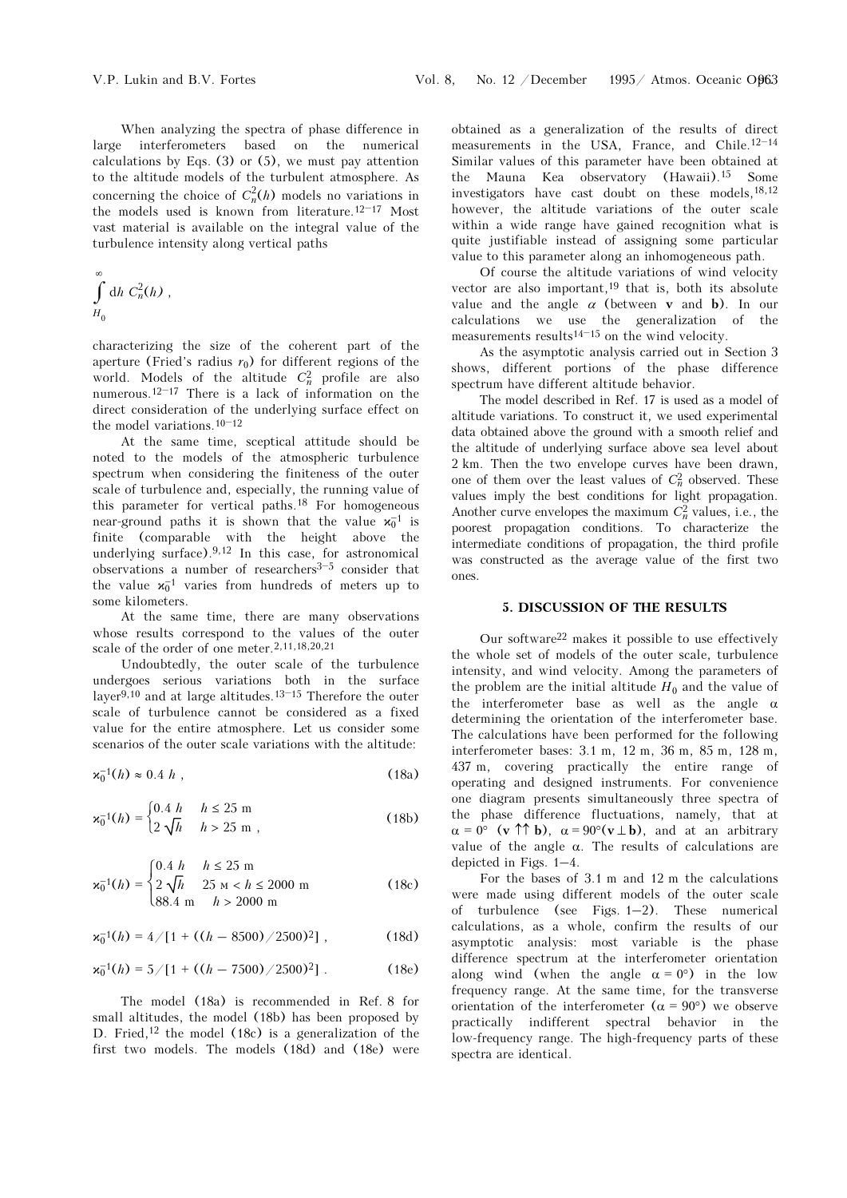When analyzing the spectra of phase difference in large interferometers based on the numerical calculations by Eqs.  $(3)$  or  $(5)$ , we must pay attention to the altitude models of the turbulent atmosphere. As concerning the choice of  $C_n^2(h)$  models no variations in calculations by Eqs. (3) or (5), we must pay attention<br>to the altitude models of the turbulent atmosphere. As<br>concerning the choice of  $C_n^2(h)$  models no variations in<br>the models used is known from literature.<sup>12–17</sup> Most vast material is available on the integral value of the turbulence intensity along vertical paths

$$
\int_{H_0}^{\infty} dh C_n^2(h) ,
$$

characterizing the size of the coherent part of the aperture (Fried's radius  $r_0$ ) for different regions of the world. Models of the altitude  $C_n^2$  profile are also characterizing the size of the coherent part of the aperture (Fried's radius  $r_0$ ) for different regions of the world. Models of the altitude  $C_n^2$  profile are also numerous.<sup>12–17</sup> There is a lack of information on the direct consideration of the underlying surface effect on the model variations.  $10^{-12}$ world. Models of the<br>numerous.<sup>12–17</sup> There is<br>direct consideration of th<br>the model variations.<sup>10–12</sup>

At the same time, sceptical attitude should be noted to the models of the atmospheric turbulence spectrum when considering the finiteness of the outer scale of turbulence and, especially, the running value of this parameter for vertical paths.<sup>18</sup> For homogeneous near-ground paths it is shown that the value  $\mathbf{x}_0^{-1}$  is finite (comparable with the height above the underlying surface).9,12 In this case, for astronomical near-ground paths it is shown that the value  $x_0^{-1}$  is finite (comparable with the height above the underlying surface).<sup>9,12</sup> In this case, for astronomical observations a number of researchers<sup>3–5</sup> consider that observations a number of researchers<sup>3-5</sup> consider that<br>the value  $\mathbf{x}_0^{-1}$  varies from hundreds of meters up to some kilometers.

At the same time, there are many observations whose results correspond to the values of the outer scale of the order of one meter.2,11,18,20,21

Undoubtedly, the outer scale of the turbulence undergoes serious variations both in the surface layer9,10 and at large altitudes.13–<sup>15</sup> Therefore the outer scale of turbulence cannot be considered as a fixed value for the entire atmosphere. Let us consider some scenarios of the outer scale variations with the altitude:

$$
\mathbf{x}_0^{-1}(h) \approx 0.4 \ h \tag{18a}
$$

$$
\kappa_0^{-1}(h) = \begin{cases} 0.4 & h \le 25 \text{ m} \\ 2\sqrt{h} & h > 25 \text{ m} \end{cases}
$$
 (18b)

$$
\mathbf{x}_0^{-1}(h) = \begin{cases} 0.4 \ h & h \le 25 \text{ m} \\ 2 \sqrt{h} & 25 \text{ m} < h \le 2000 \text{ m} \\ 88.4 \text{ m} & h > 2000 \text{ m} \end{cases} \tag{18c}
$$

$$
\mathbf{x}_0^{-1}(h) = 4/[1 + ((h - 8500) / 2500)^2], \qquad (18d)
$$

$$
\mathbf{x}_0^{-1}(h) = 5/[1 + ((h - 7500)/2500)^2]. \tag{18e}
$$

The model (18a) is recommended in Ref. 8 for small altitudes, the model (18b) has been proposed by D. Fried,<sup>12</sup> the model  $(18c)$  is a generalization of the first two models. The models (18d) and (18e) were

obtained as a generalization of the results of direct measurements in the USA, France, and Chile.12–<sup>14</sup> Similar values of this parameter have been obtained at the Mauna Kea observatory (Hawaii).<sup>15</sup> Some investigators have cast doubt on these models,  $18,12$ however, the altitude variations of the outer scale within a wide range have gained recognition what is quite justifiable instead of assigning some particular value to this parameter along an inhomogeneous path.

Of course the altitude variations of wind velocity vector are also important,<sup>19</sup> that is, both its absolute value and the angle  $\alpha$  (between **v** and **b**). In our calculations we use the generalization of the measurements results<sup>14–15</sup> on the wind velocity. value and the angle  $\alpha$  (between **v** and **b**). In our calculations we use the generalization of the measurements results<sup>14-15</sup> on the wind velocity.

As the asymptotic analysis carried out in Section 3 shows, different portions of the phase difference spectrum have different altitude behavior.

The model described in Ref. 17 is used as a model of altitude variations. To construct it, we used experimental data obtained above the ground with a smooth relief and the altitude of underlying surface above sea level about 2 km. Then the two envelope curves have been drawn, one of them over the least values of  $C_n^2$  observed. These values imply the best conditions for light propagation. Another curve envelopes the maximum  $C_n^2$  values, i.e., the poorest propagation conditions. To characterize the intermediate conditions of propagation, the third profile was constructed as the average value of the first two ones.

## 5. DISCUSSION OF THE RESULTS

Our software22 makes it possible to use effectively the whole set of models of the outer scale, turbulence intensity, and wind velocity. Among the parameters of the problem are the initial altitude  $H_0$  and the value of the interferometer base as well as the angle  $\alpha$ determining the orientation of the interferometer base. The calculations have been performed for the following interferometer bases: 3.1 m, 12 m, 36 m, 85 m, 128 m, 437 m, covering practically the entire range of operating and designed instruments. For convenience one diagram presents simultaneously three spectra of the phase difference fluctuations, namely, that at  $\alpha = 0^{\circ}$  (v  $\uparrow \uparrow$  b),  $\alpha = 90^{\circ}$  (v  $\perp$  b), and at an arbitrary value of the angle  $\alpha$ . The results of calculations are depicted in Figs. 1–4.

For the bases of 3.1 m and 12 m the calculations were made using different models of the outer scale of turbulence (see Figs. 1–2). These numerical calculations, as a whole, confirm the results of our asymptotic analysis: most variable is the phase difference spectrum at the interferometer orientation along wind (when the angle  $\alpha = 0^{\circ}$ ) in the low frequency range. At the same time, for the transverse orientation of the interferometer  $(\alpha = 90^{\circ})$  we observe practically indifferent spectral behavior in the low-frequency range. The high-frequency parts of these spectra are identical.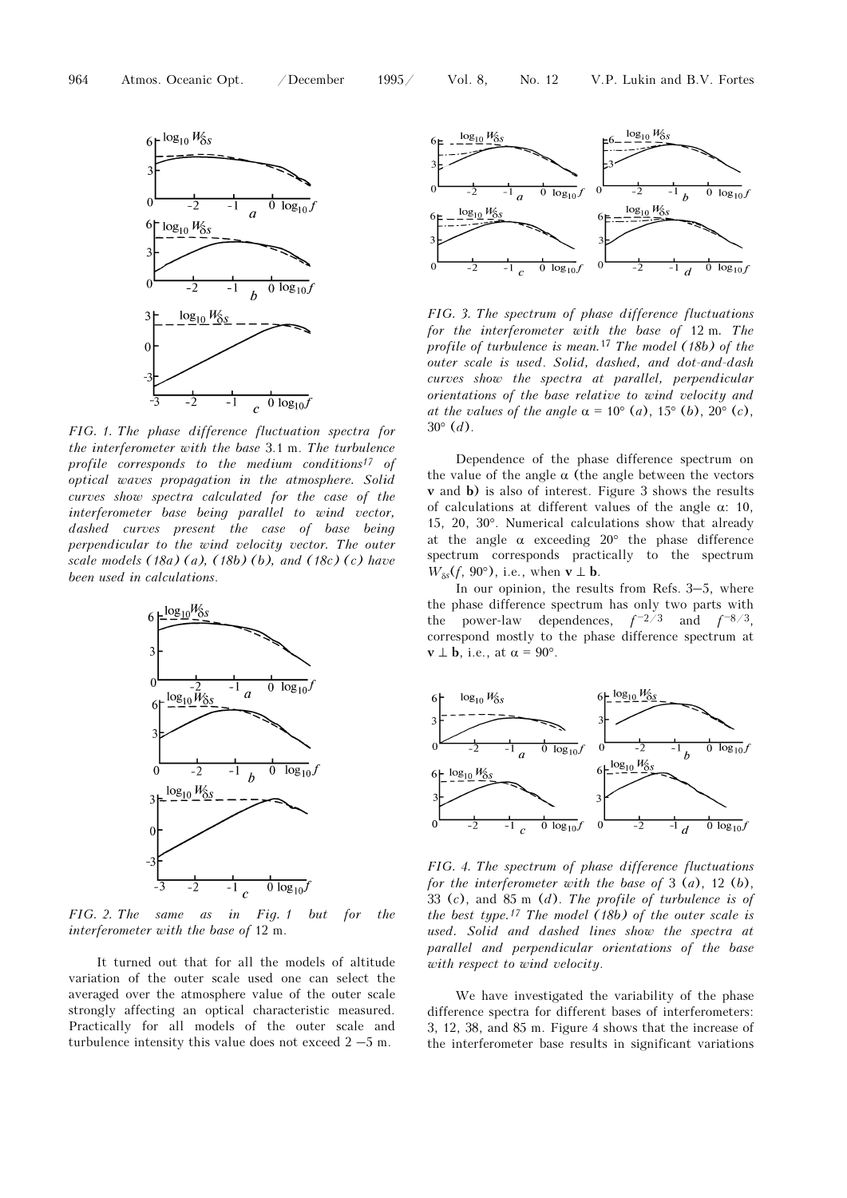

FIG. 1. The phase difference fluctuation spectra for the interferometer with the base 3.1 m. The turbulence profile corresponds to the medium conditions<sup>17</sup> of optical waves propagation in the atmosphere. Solid curves show spectra calculated for the case of the interferometer base being parallel to wind vector, dashed curves present the case of base being perpendicular to the wind velocity vector. The outer scale models  $(18a)$   $(a)$ ,  $(18b)$   $(b)$ , and  $(18c)$   $(c)$  have been used in calculations.



FIG. 2. The same as in Fig. 1 but for the interferometer with the base of 12 m.

It turned out that for all the models of altitude variation of the outer scale used one can select the averaged over the atmosphere value of the outer scale strongly affecting an optical characteristic measured. Practically for all models of the outer scale and turbulence intensity this value does not exceed  $2 - 5$  m.



FIG. 3. The spectrum of phase difference fluctuations for the interferometer with the base of 12 m. The profile of turbulence is mean.<sup>17</sup> The model  $(18b)$  of the outer scale is used. Solid, dashed, and dot-and-dash curves show the spectra at parallel, perpendicular orientations of the base relative to wind velocity and at the values of the angle  $\alpha = 10^{\circ}$  (a),  $15^{\circ}$  (b),  $20^{\circ}$  (c),  $30^{\circ}$  (*d*).

Dependence of the phase difference spectrum on the value of the angle  $\alpha$  (the angle between the vectors v and b) is also of interest. Figure 3 shows the results of calculations at different values of the angle  $\alpha$ : 10, 15, 20, 30°. Numerical calculations show that already at the angle  $\alpha$  exceeding 20° the phase difference spectrum corresponds practically to the spectrum  $W_{\delta s}(f, 90^{\circ})$ , i.e., when  $\mathbf{v} \perp \mathbf{b}$ .

In our opinion, the results from Refs. 3–5, where the phase difference spectrum has only two parts with the power-law dependences,  $f^{-2/3}$  and  $f^{-8/3}$ , correspond mostly to the phase difference spectrum at  $\mathbf{v} \perp \mathbf{b}$ , i.e., at  $\alpha = 90^\circ$ .



FIG. 4. The spectrum of phase difference fluctuations for the interferometer with the base of  $3(a)$ ,  $12(b)$ , 33 (c), and 85 m  $(d)$ . The profile of turbulence is of the best type.<sup>17</sup> The model  $(18b)$  of the outer scale is used. Solid and dashed lines show the spectra at parallel and perpendicular orientations of the base with respect to wind velocity.

We have investigated the variability of the phase difference spectra for different bases of interferometers: 3, 12, 38, and 85 m. Figure 4 shows that the increase of the interferometer base results in significant variations